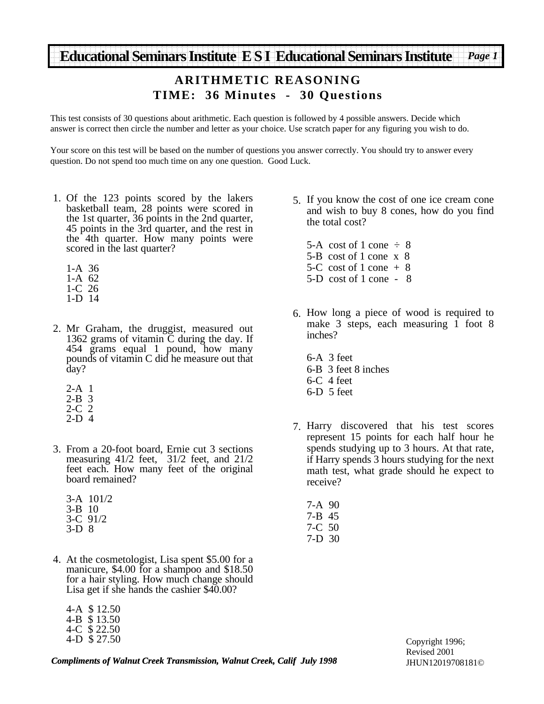#### **ARITHMETIC REASONING TIME: 36 Minutes - 30 Questions**

This test consists of 30 questions about arithmetic. Each question is followed by 4 possible answers. Decide which answer is correct then circle the number and letter as your choice. Use scratch paper for any figuring you wish to do.

Your score on this test will be based on the number of questions you answer correctly. You should try to answer every question. Do not spend too much time on any one question. Good Luck.

- 1. Of the 123 points scored by the lakers basketball team, 28 points were scored in the 1st quarter, 36 points in the 2nd quarter, 45 points in the 3rd quarter, and the rest in the 4th quarter. How many points were scored in the last quarter?
	- 1-A 36 1-A 62
	- 1-C 26
	- 1-D 14
- 2. Mr Graham, the druggist, measured out 1362 grams of vitamin  $\tilde{C}$  during the day. If 454 grams equal 1 pound, how many pounds of vitamin C did he measure out that day?
	- 2-A 1
	- 2-B 3
	- 2-C 2
	- 2-D 4
- From a 20-foot board, Ernie cut 3 sections 3. measuring 41/2 feet, 31/2 feet, and 21/2 feet each. How many feet of the original board remained?
	- 3-A 101/2 3-B 10 3-C 91/2 3-D 8
- At the cosmetologist, Lisa spent \$5.00 for a 4. manicure, \$4.00 for a shampoo and \$18.50 for a hair styling. How much change should Lisa get if she hands the cashier \$40.00?

| 4-A \$12.50  |
|--------------|
| 4-B \$13.50  |
| 4-C \$22.50  |
| 4-D \$ 27.50 |

5. If you know the cost of one ice cream cone and wish to buy 8 cones, how do you find the total cost?

5-A cost of 1 cone  $\div$  8 5-B cost of 1 cone x 8 5-C cost of 1 cone  $+8$ 5-D cost of 1 cone - 8

- 6. How long a piece of wood is required to make 3 steps, each measuring 1 foot 8 inches?
	- 6-A 3 feet 6-B 3 feet 8 inches 6-C 4 feet 6-D 5 feet
- 7. Harry discovered that his test scores represent 15 points for each half hour he spends studying up to 3 hours. At that rate, if Harry spends 3 hours studying for the next math test, what grade should he expect to receive?
	- 7-A 90 7-B 45 7-C 50 7-D 30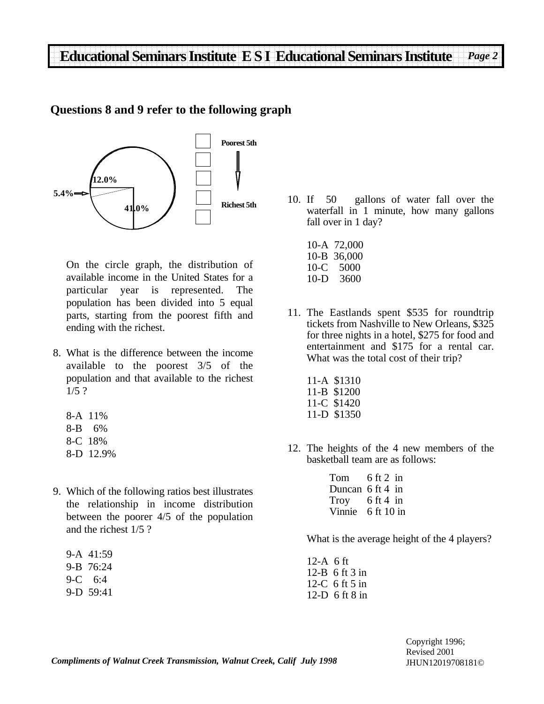#### **Questions 8 and 9 refer to the following graph**



On the circle graph, the distribution of available income in the United States for a particular year is represented. The population has been divided into 5 equal parts, starting from the poorest fifth and ending with the richest.

- What is the difference between the income 8. available to the poorest 3/5 of the population and that available to the richest 1/5 ?
	- 8-A 11% 8-B 6% 8-C 18% 8-D 12.9%
- Which of the following ratios best illustrates 9. the relationship in income distribution between the poorer 4/5 of the population and the richest 1/5 ?

|     | 9-A 41:59 |
|-----|-----------|
| 9-B | 76:24     |
| 9-C | 6:4       |
|     | 9-D 59:41 |

- 10. If 50 gallons of water fall over the waterfall in 1 minute, how many gallons fall over in 1 day?
	- 10-A 72,000 10-B 36,000 10-C 5000 10-D 3600
- 11. The Eastlands spent \$535 for roundtrip tickets from Nashville to New Orleans, \$325 for three nights in a hotel, \$275 for food and entertainment and \$175 for a rental car. What was the total cost of their trip?
	- 11-A \$1310 11-B \$1200 11-C \$1420 11-D \$1350
- 12. The heights of the 4 new members of the basketball team are as follows:

6 ft 2 in Duncan 6 ft 4 in 6 ft 4 in 6 ft 10 in Vinnie Tom Troy

What is the average height of the 4 players?

```
12-A 6 ft
12-B 6 ft 3 in
12-C 6 ft 5 in
12-D 6 ft 8 in
```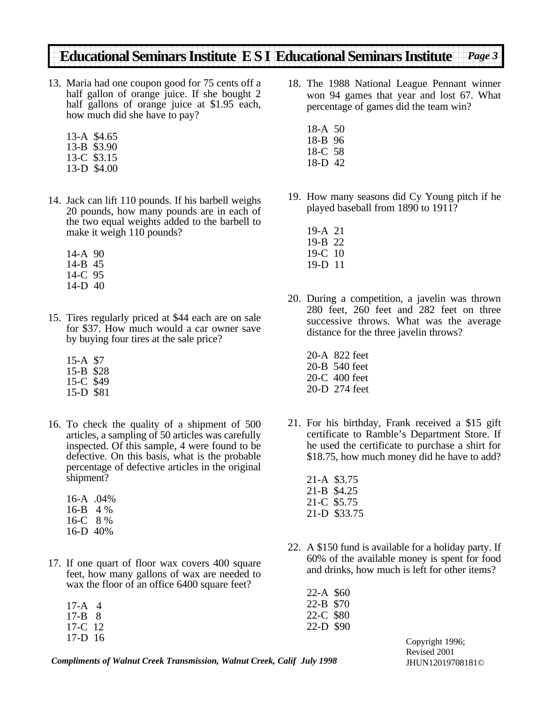- 13. Maria had one coupon good for 75 cents off a half gallon of orange juice. If she bought 2 half gallons of orange juice at \$1.95 each, how much did she have to pay?
	- 13-A \$4.65 13-B \$3.90 13-C \$3.15 13-D \$4.00
- 14. Jack can lift 110 pounds. If his barbell weighs 20 pounds, how many pounds are in each of the two equal weights added to the barbell to make it weigh 110 pounds?
	- 14-A 90 14-B 45 14-C 95 14-D 40
- 15. Tires regularly priced at \$44 each are on sale for \$37. How much would a car owner save by buying four tires at the sale price?
	- 15-A \$7 15-B \$28 15-C \$49 15-D \$81
- 16. To check the quality of a shipment of 500 articles, a sampling of 50 articles was carefully inspected. Of this sample, 4 were found to be defective. On this basis, what is the probable percentage of defective articles in the original shipment?
	- 16-A .04% 16-B 4 % 16-C 8 % 16-D 40%
- 17. If one quart of floor wax covers 400 square feet, how many gallons of wax are needed to wax the floor of an office 6400 square feet?
	- 17-A 4 17-B 8 17-C 12 17-D 16
- 18. The 1988 National League Pennant winner won 94 games that year and lost 67. What percentage of games did the team win?
	- 18-A 50 18-B 96 18-C 58 18-D 42
- 19. How many seasons did Cy Young pitch if he played baseball from 1890 to 1911?
	- 19-A 21 19-B 22 19-C 10 19-D 11
- 20. During a competition, a javelin was thrown 280 feet, 260 feet and 282 feet on three successive throws. What was the average distance for the three javelin throws?
	- 20-A 822 feet 20-B 540 feet 20-C 400 feet 20-D 274 feet
- 21. For his birthday, Frank received a \$15 gift certificate to Ramble's Department Store. If he used the certificate to purchase a shirt for \$18.75, how much money did he have to add?
	- 21-A \$3.75 21-B \$4.25 21-C \$5.75 21-D \$33.75
- 22. A \$150 fund is available for a holiday party. If 60% of the available money is spent for food and drinks, how much is left for other items?

22-A \$60 22-B \$70 22-C \$80 22-D \$90

*Compliments of Walnut Creek Transmission, Walnut Creek, Calif July 1998*

Copyright 1996; Revised 2001 JHUN12019708181©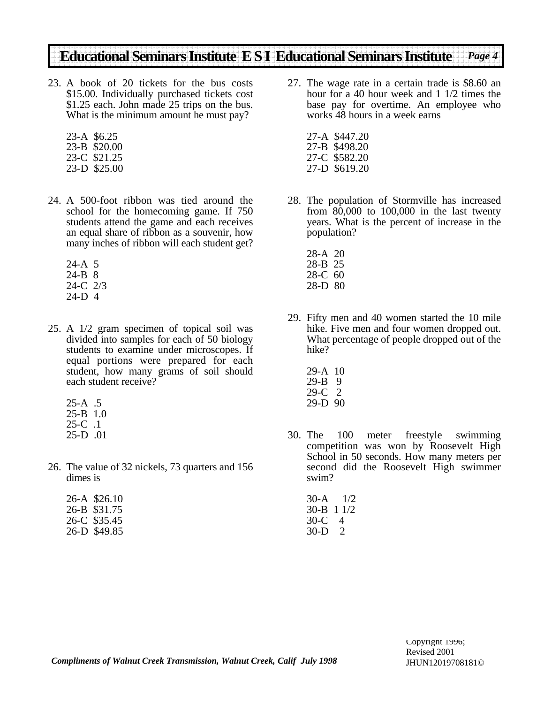- A book of 20 tickets for the bus costs 23. \$15.00. Individually purchased tickets cost \$1.25 each. John made 25 trips on the bus. What is the minimum amount he must pay?
	- 23-A \$6.25 23-B \$20.00 23-C \$21.25 23-D \$25.00
- A 500-foot ribbon was tied around the 24. school for the homecoming game. If 750 students attend the game and each receives an equal share of ribbon as a souvenir, how many inches of ribbon will each student get?
	- 24-A 5 24-B 8 24-C 2/3 24-D 4
- A 1/2 gram specimen of topical soil was 25. divided into samples for each of 50 biology students to examine under microscopes. If equal portions were prepared for each student, how many grams of soil should each student receive?
	- 25-A .5 25-B 1.0 25-C .1 25-D .01
- 26. The value of 32 nickels, 73 quarters and 156 dimes is

| 26-A \$26.10 |
|--------------|
| 26-B \$31.75 |
| 26-C \$35.45 |
| 26-D \$49.85 |

- 27. The wage rate in a certain trade is \$8.60 an hour for a 40 hour week and 1 1/2 times the base pay for overtime. An employee who works 48 hours in a week earns
	- 27-A \$447.20 27-B \$498.20 27-C \$582.20 27-D \$619.20
- 28. The population of Stormville has increased from 80,000 to 100,000 in the last twenty years. What is the percent of increase in the population?
	- 28-A 20 28-B 25 28-C 60 28-D 80
- 29. Fifty men and 40 women started the 10 mile hike. Five men and four women dropped out. What percentage of people dropped out of the hike?
	- 29-A 10 29-B 9 29-C 2 29-D 90
- 30. 100 meter freestyle swimming competition was won by Roosevelt High School in 50 seconds. How many meters per second did the Roosevelt High swimmer swim?
	- 30-A 1/2 30-B 1 1/2 30-C 4 30-D 2